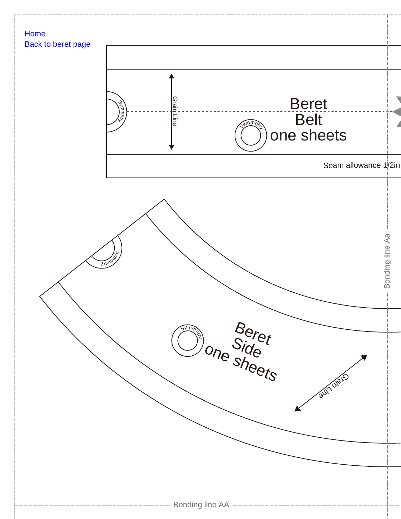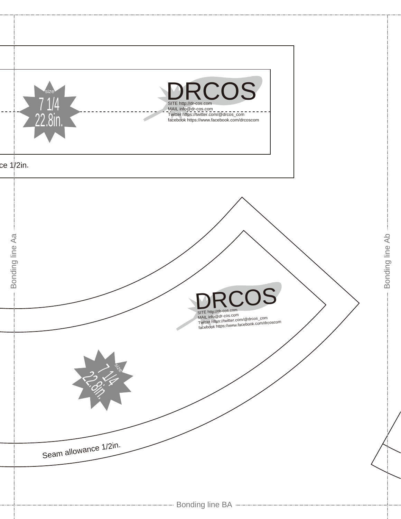